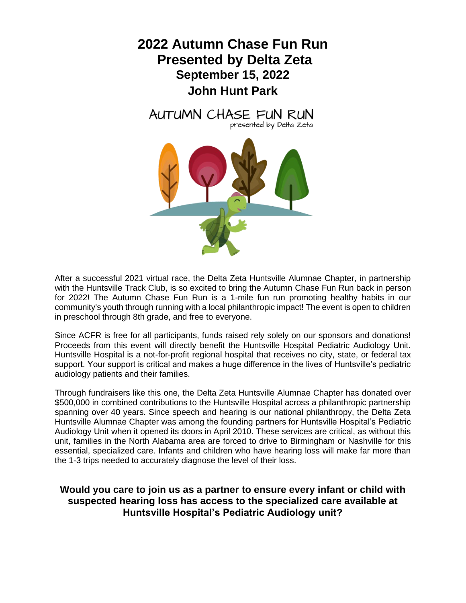



After a successful 2021 virtual race, the Delta Zeta Huntsville Alumnae Chapter, in partnership with the Huntsville Track Club, is so excited to bring the Autumn Chase Fun Run back in person for 2022! The Autumn Chase Fun Run is a 1-mile fun run promoting healthy habits in our community's youth through running with a local philanthropic impact! The event is open to children in preschool through 8th grade, and free to everyone.

Since ACFR is free for all participants, funds raised rely solely on our sponsors and donations! Proceeds from this event will directly benefit the Huntsville Hospital Pediatric Audiology Unit. Huntsville Hospital is a not-for-profit regional hospital that receives no city, state, or federal tax support. Your support is critical and makes a huge difference in the lives of Huntsville's pediatric audiology patients and their families.

Through fundraisers like this one, the Delta Zeta Huntsville Alumnae Chapter has donated over \$500,000 in combined contributions to the Huntsville Hospital across a philanthropic partnership spanning over 40 years. Since speech and hearing is our national philanthropy, the Delta Zeta Huntsville Alumnae Chapter was among the founding partners for Huntsville Hospital's Pediatric Audiology Unit when it opened its doors in April 2010. These services are critical, as without this unit, families in the North Alabama area are forced to drive to Birmingham or Nashville for this essential, specialized care. Infants and children who have hearing loss will make far more than the 1-3 trips needed to accurately diagnose the level of their loss.

#### **Would you care to join us as a partner to ensure every infant or child with suspected hearing loss has access to the specialized care available at Huntsville Hospital's Pediatric Audiology unit?**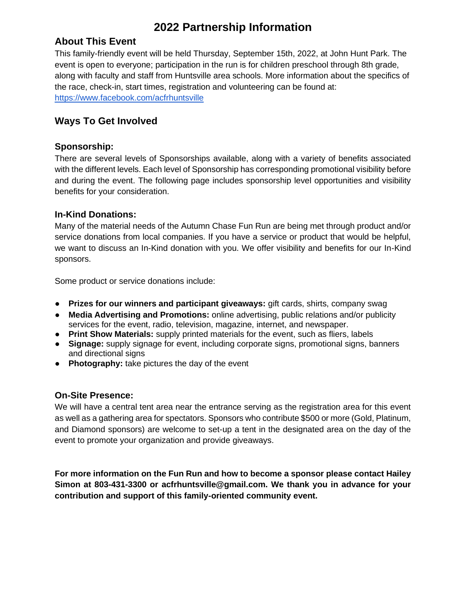## **2022 Partnership Information**

### **About This Event**

This family-friendly event will be held Thursday, September 15th, 2022, at John Hunt Park. The event is open to everyone; participation in the run is for children preschool through 8th grade, along with faculty and staff from Huntsville area schools. More information about the specifics of the race, check-in, start times, registration and volunteering can be found at: <https://www.facebook.com/acfrhuntsville>

### **Ways To Get Involved**

#### **Sponsorship:**

There are several levels of Sponsorships available, along with a variety of benefits associated with the different levels. Each level of Sponsorship has corresponding promotional visibility before and during the event. The following page includes sponsorship level opportunities and visibility benefits for your consideration.

#### **In-Kind Donations:**

Many of the material needs of the Autumn Chase Fun Run are being met through product and/or service donations from local companies. If you have a service or product that would be helpful, we want to discuss an In-Kind donation with you. We offer visibility and benefits for our In-Kind sponsors.

Some product or service donations include:

- **Prizes for our winners and participant giveaways:** gift cards, shirts, company swag
- **Media Advertising and Promotions:** online advertising, public relations and/or publicity services for the event, radio, television, magazine, internet, and newspaper.
- **Print Show Materials:** supply printed materials for the event, such as fliers, labels
- **Signage:** supply signage for event, including corporate signs, promotional signs, banners and directional signs
- **Photography:** take pictures the day of the event

### **On-Site Presence:**

We will have a central tent area near the entrance serving as the registration area for this event as well as a gathering area for spectators. Sponsors who contribute \$500 or more (Gold, Platinum, and Diamond sponsors) are welcome to set-up a tent in the designated area on the day of the event to promote your organization and provide giveaways.

**For more information on the Fun Run and how to become a sponsor please contact Hailey Simon at 803-431-3300 or acfrhuntsville@gmail.com. We thank you in advance for your contribution and support of this family-oriented community event.**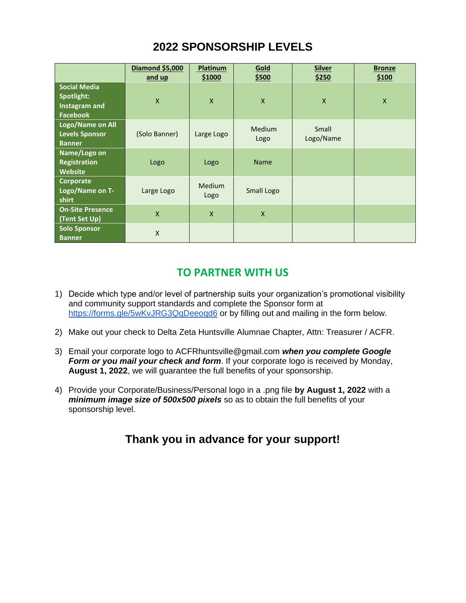# **2022 SPONSORSHIP LEVELS**

|                                                                | <b>Diamond \$5,000</b><br>and up | Platinum<br>\$1000    | Gold<br>\$500         | <b>Silver</b><br>\$250 | <b>Bronze</b><br>\$100 |
|----------------------------------------------------------------|----------------------------------|-----------------------|-----------------------|------------------------|------------------------|
| <b>Social Media</b><br>Spotlight:<br>Instagram and<br>Facebook | $\mathsf{X}$                     | $\mathsf{X}$          | $\mathsf{X}$          | $\mathsf{X}$           | X                      |
| Logo/Name on All<br><b>Levels Sponsor</b><br><b>Banner</b>     | (Solo Banner)                    | Large Logo            | <b>Medium</b><br>Logo | Small<br>Logo/Name     |                        |
| Name/Logo on<br><b>Registration</b><br>Website                 | Logo                             | Logo                  | <b>Name</b>           |                        |                        |
| Corporate<br>Logo/Name on T-<br>shirt                          | Large Logo                       | <b>Medium</b><br>Logo | Small Logo            |                        |                        |
| <b>On-Site Presence</b><br>(Tent Set Up)                       | $\mathsf{x}$                     | $\mathsf{x}$          | $\mathsf{x}$          |                        |                        |
| <b>Solo Sponsor</b><br><b>Banner</b>                           | $\pmb{\times}$                   |                       |                       |                        |                        |

### **TO PARTNER WITH US**

- 1) Decide which type and/or level of partnership suits your organization's promotional visibility and community support standards and complete the Sponsor form at <https://forms.gle/5wKvJRG3QqDeeoqd6> or by filling out and mailing in the form below.
- 2) Make out your check to Delta Zeta Huntsville Alumnae Chapter, Attn: Treasurer / ACFR.
- 3) Email your corporate logo to ACFRhuntsville@gmail.com *when you complete Google Form or you mail your check and form*. If your corporate logo is received by Monday, **August 1, 2022**, we will guarantee the full benefits of your sponsorship.
- 4) Provide your Corporate/Business/Personal logo in a .png file **by August 1, 2022** with a *minimum image size of 500x500 pixels* so as to obtain the full benefits of your sponsorship level.

# **Thank you in advance for your support!**